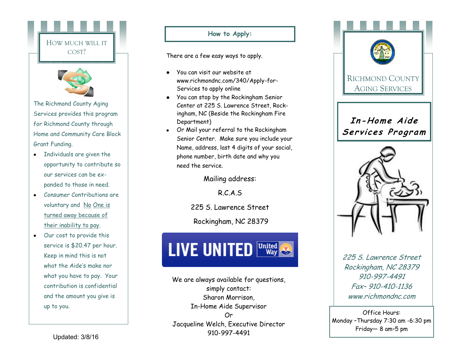



The Richmond County Aging Services provides this program for Richmond County through Home and Community Care Block Grant Funding.

- Individuals are given the  $\bullet$ opportunity to contribute so our services can be expanded to those in need.
- Consumer Contributions are  $\bullet$ voluntary and No One is turned away because of their inability to pay.
- Our cost to provide this service is \$20.47 per hour. Keep in mind this is not what the Aide's make nor what you have to pay. Your contribution is confidential and the amount you give is up to you.

#### **How to Apply:**

There are a few easy ways to apply.

- You can visit our website at www.richmondnc.com/340/Apply -for - Services to apply online
- You can stop by the Rockingham Senior Center at 225 S. Lawrence Street, Rockingham, NC (Beside the Rockingham Fire Department)
- Or Mail your referral to the Rockingham Senior Center. Make sure you include your Name, address, last 4 digits of your social, phone number, birth date and why you need the service.

Mailing address:

R.C.A.S

225 S. Lawrence Street

Rockingham, NC 28379

# **LIVE UNITED United**

We are always available for questions, simply contact: Sharon Morrison, In -Home Aide Supervisor Or Jacqueline Welch, Executive Director 910 -997 -4491



Office Hours: Monday –Thursday 7:30 am -6:30 pm Friday — 8 am –5 pm